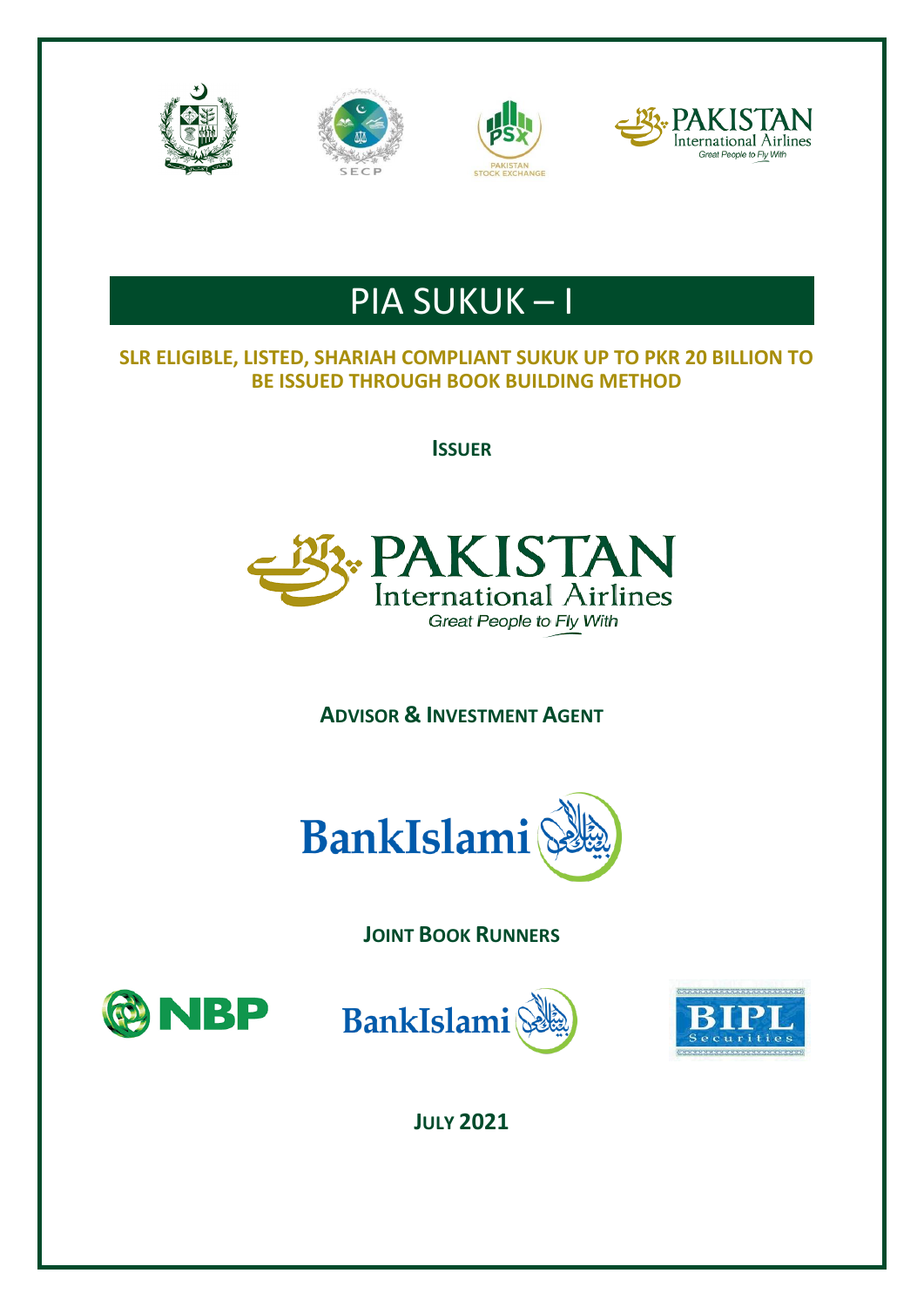







# PIA SUKUK – I

# **SLR ELIGIBLE, LISTED, SHARIAH COMPLIANT SUKUK UP TO PKR 20 BILLION TO BE ISSUED THROUGH BOOK BUILDING METHOD**

**ISSUER**



# **ADVISOR & INVESTMENT AGENT**



**JOINT BOOK RUNNERS**







**JULY 2021**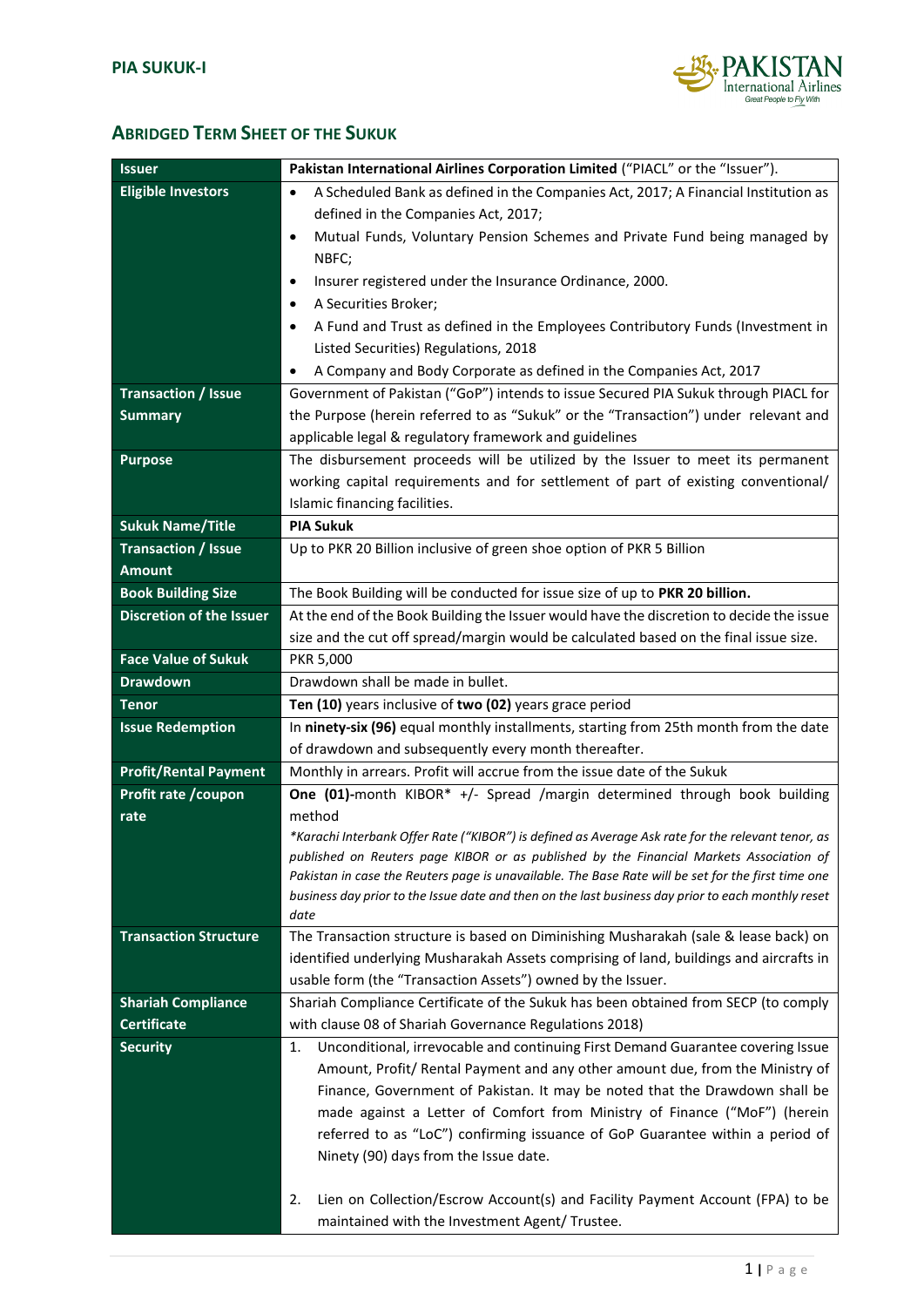![](_page_1_Picture_1.jpeg)

# **ABRIDGED TERM SHEET OF THE SUKUK**

| <b>Issuer</b>                   | Pakistan International Airlines Corporation Limited ("PIACL" or the "Issuer").                                                        |  |  |
|---------------------------------|---------------------------------------------------------------------------------------------------------------------------------------|--|--|
| <b>Eligible Investors</b>       | A Scheduled Bank as defined in the Companies Act, 2017; A Financial Institution as<br>$\bullet$                                       |  |  |
|                                 | defined in the Companies Act, 2017;                                                                                                   |  |  |
|                                 | Mutual Funds, Voluntary Pension Schemes and Private Fund being managed by<br>$\bullet$                                                |  |  |
|                                 | NBFC;                                                                                                                                 |  |  |
|                                 | Insurer registered under the Insurance Ordinance, 2000.<br>٠                                                                          |  |  |
|                                 | A Securities Broker;<br>$\bullet$                                                                                                     |  |  |
|                                 | A Fund and Trust as defined in the Employees Contributory Funds (Investment in<br>٠                                                   |  |  |
|                                 | Listed Securities) Regulations, 2018                                                                                                  |  |  |
|                                 | A Company and Body Corporate as defined in the Companies Act, 2017<br>$\bullet$                                                       |  |  |
| <b>Transaction / Issue</b>      | Government of Pakistan ("GoP") intends to issue Secured PIA Sukuk through PIACL for                                                   |  |  |
| <b>Summary</b>                  | the Purpose (herein referred to as "Sukuk" or the "Transaction") under relevant and                                                   |  |  |
|                                 | applicable legal & regulatory framework and guidelines                                                                                |  |  |
| <b>Purpose</b>                  | The disbursement proceeds will be utilized by the Issuer to meet its permanent                                                        |  |  |
|                                 | working capital requirements and for settlement of part of existing conventional/                                                     |  |  |
|                                 | Islamic financing facilities.                                                                                                         |  |  |
| <b>Sukuk Name/Title</b>         | <b>PIA Sukuk</b>                                                                                                                      |  |  |
| <b>Transaction / Issue</b>      | Up to PKR 20 Billion inclusive of green shoe option of PKR 5 Billion                                                                  |  |  |
| <b>Amount</b>                   |                                                                                                                                       |  |  |
| <b>Book Building Size</b>       | The Book Building will be conducted for issue size of up to PKR 20 billion.                                                           |  |  |
| <b>Discretion of the Issuer</b> | At the end of the Book Building the Issuer would have the discretion to decide the issue                                              |  |  |
|                                 | size and the cut off spread/margin would be calculated based on the final issue size.                                                 |  |  |
| <b>Face Value of Sukuk</b>      | <b>PKR 5,000</b>                                                                                                                      |  |  |
| <b>Drawdown</b>                 | Drawdown shall be made in bullet.                                                                                                     |  |  |
| Tenor                           | Ten (10) years inclusive of two (02) years grace period                                                                               |  |  |
|                                 |                                                                                                                                       |  |  |
| <b>Issue Redemption</b>         | In ninety-six (96) equal monthly installments, starting from 25th month from the date                                                 |  |  |
|                                 | of drawdown and subsequently every month thereafter.                                                                                  |  |  |
| <b>Profit/Rental Payment</b>    | Monthly in arrears. Profit will accrue from the issue date of the Sukuk                                                               |  |  |
| Profit rate / coupon            | One (01)-month KIBOR* +/- Spread /margin determined through book building                                                             |  |  |
| rate                            | method                                                                                                                                |  |  |
|                                 | *Karachi Interbank Offer Rate ("KIBOR") is defined as Average Ask rate for the relevant tenor, as                                     |  |  |
|                                 | published on Reuters page KIBOR or as published by the Financial Markets Association of                                               |  |  |
|                                 | Pakistan in case the Reuters page is unavailable. The Base Rate will be set for the first time one                                    |  |  |
|                                 | business day prior to the Issue date and then on the last business day prior to each monthly reset<br>date                            |  |  |
| <b>Transaction Structure</b>    | The Transaction structure is based on Diminishing Musharakah (sale & lease back) on                                                   |  |  |
|                                 | identified underlying Musharakah Assets comprising of land, buildings and aircrafts in                                                |  |  |
|                                 | usable form (the "Transaction Assets") owned by the Issuer.                                                                           |  |  |
| <b>Shariah Compliance</b>       | Shariah Compliance Certificate of the Sukuk has been obtained from SECP (to comply                                                    |  |  |
| <b>Certificate</b>              | with clause 08 of Shariah Governance Regulations 2018)                                                                                |  |  |
| <b>Security</b>                 | Unconditional, irrevocable and continuing First Demand Guarantee covering Issue<br>1.                                                 |  |  |
|                                 | Amount, Profit/ Rental Payment and any other amount due, from the Ministry of                                                         |  |  |
|                                 | Finance, Government of Pakistan. It may be noted that the Drawdown shall be                                                           |  |  |
|                                 | made against a Letter of Comfort from Ministry of Finance ("MoF") (herein                                                             |  |  |
|                                 | referred to as "LoC") confirming issuance of GoP Guarantee within a period of                                                         |  |  |
|                                 | Ninety (90) days from the Issue date.                                                                                                 |  |  |
|                                 |                                                                                                                                       |  |  |
|                                 | Lien on Collection/Escrow Account(s) and Facility Payment Account (FPA) to be<br>2.<br>maintained with the Investment Agent/ Trustee. |  |  |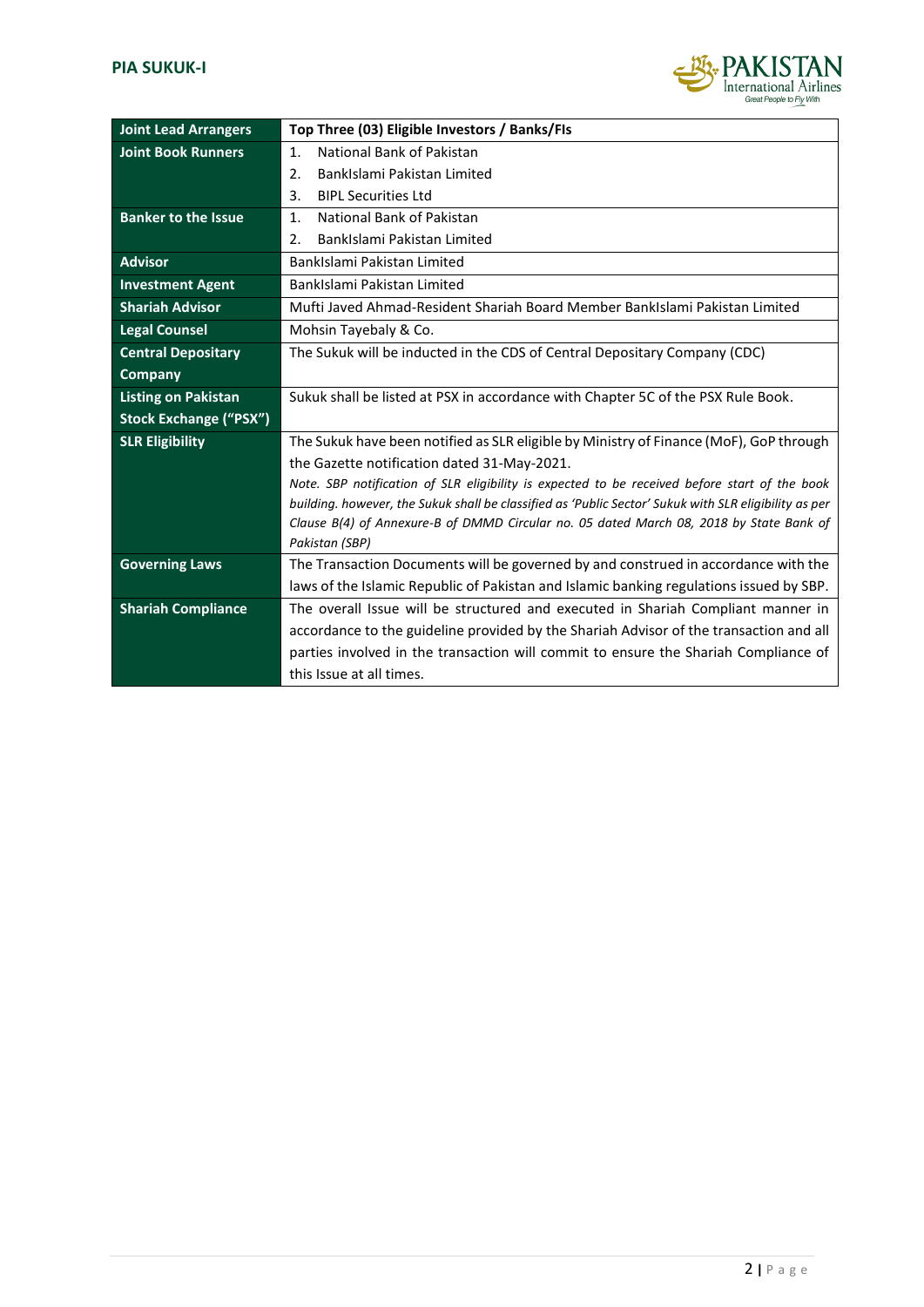![](_page_2_Picture_1.jpeg)

| <b>Joint Lead Arrangers</b>   | Top Three (03) Eligible Investors / Banks/FIs                                                             |  |  |
|-------------------------------|-----------------------------------------------------------------------------------------------------------|--|--|
| <b>Joint Book Runners</b>     | National Bank of Pakistan<br>$\mathbf{1}$ .                                                               |  |  |
|                               | BankIslami Pakistan Limited<br>2.                                                                         |  |  |
|                               | 3.<br><b>BIPL Securities Ltd</b>                                                                          |  |  |
| <b>Banker to the Issue</b>    | National Bank of Pakistan<br>$\mathbf{1}$ .                                                               |  |  |
|                               | BankIslami Pakistan Limited<br>2.                                                                         |  |  |
| <b>Advisor</b>                | BankIslami Pakistan Limited                                                                               |  |  |
| <b>Investment Agent</b>       | BankIslami Pakistan Limited                                                                               |  |  |
| <b>Shariah Advisor</b>        | Mufti Javed Ahmad-Resident Shariah Board Member BankIslami Pakistan Limited                               |  |  |
| <b>Legal Counsel</b>          | Mohsin Tayebaly & Co.                                                                                     |  |  |
| <b>Central Depositary</b>     | The Sukuk will be inducted in the CDS of Central Depositary Company (CDC)                                 |  |  |
| <b>Company</b>                |                                                                                                           |  |  |
| <b>Listing on Pakistan</b>    | Sukuk shall be listed at PSX in accordance with Chapter 5C of the PSX Rule Book.                          |  |  |
| <b>Stock Exchange ("PSX")</b> |                                                                                                           |  |  |
| <b>SLR Eligibility</b>        | The Sukuk have been notified as SLR eligible by Ministry of Finance (MoF), GoP through                    |  |  |
|                               | the Gazette notification dated 31-May-2021.                                                               |  |  |
|                               | Note. SBP notification of SLR eligibility is expected to be received before start of the book             |  |  |
|                               | building. however, the Sukuk shall be classified as 'Public Sector' Sukuk with SLR eligibility as per     |  |  |
|                               | Clause B(4) of Annexure-B of DMMD Circular no. 05 dated March 08, 2018 by State Bank of<br>Pakistan (SBP) |  |  |
| <b>Governing Laws</b>         | The Transaction Documents will be governed by and construed in accordance with the                        |  |  |
|                               | laws of the Islamic Republic of Pakistan and Islamic banking regulations issued by SBP.                   |  |  |
| <b>Shariah Compliance</b>     | The overall Issue will be structured and executed in Shariah Compliant manner in                          |  |  |
|                               | accordance to the guideline provided by the Shariah Advisor of the transaction and all                    |  |  |
|                               | parties involved in the transaction will commit to ensure the Shariah Compliance of                       |  |  |
|                               | this Issue at all times.                                                                                  |  |  |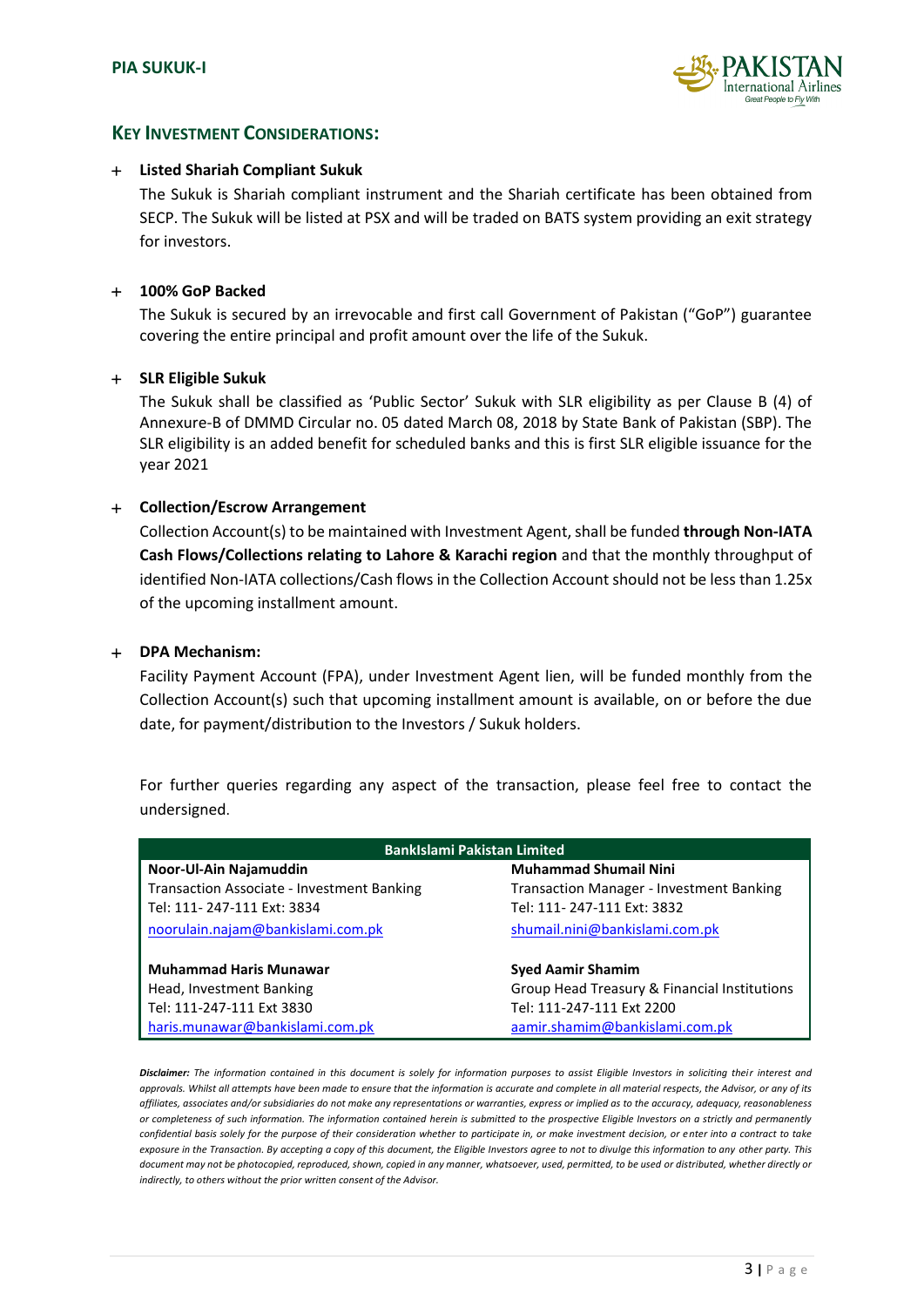![](_page_3_Picture_1.jpeg)

### **KEY INVESTMENT CONSIDERATIONS:**

#### **Listed Shariah Compliant Sukuk**

The Sukuk is Shariah compliant instrument and the Shariah certificate has been obtained from SECP. The Sukuk will be listed at PSX and will be traded on BATS system providing an exit strategy for investors.

#### **100% GoP Backed**

The Sukuk is secured by an irrevocable and first call Government of Pakistan ("GoP") guarantee covering the entire principal and profit amount over the life of the Sukuk.

#### **SLR Eligible Sukuk**

The Sukuk shall be classified as 'Public Sector' Sukuk with SLR eligibility as per Clause B (4) of Annexure-B of DMMD Circular no. 05 dated March 08, 2018 by State Bank of Pakistan (SBP). The SLR eligibility is an added benefit for scheduled banks and this is first SLR eligible issuance for the year 2021

#### **Collection/Escrow Arrangement**

Collection Account(s) to be maintained with Investment Agent, shall be funded **through Non-IATA Cash Flows/Collections relating to Lahore & Karachi region** and that the monthly throughput of identified Non-IATA collections/Cash flows in the Collection Account should not be less than 1.25x of the upcoming installment amount.

#### **DPA Mechanism:**

Facility Payment Account (FPA), under Investment Agent lien, will be funded monthly from the Collection Account(s) such that upcoming installment amount is available, on or before the due date, for payment/distribution to the Investors / Sukuk holders.

For further queries regarding any aspect of the transaction, please feel free to contact the undersigned.

| <b>Bankislami Pakistan Limited</b>         |                                                 |  |  |
|--------------------------------------------|-------------------------------------------------|--|--|
| Noor-Ul-Ain Najamuddin                     | <b>Muhammad Shumail Nini</b>                    |  |  |
| Transaction Associate - Investment Banking | <b>Transaction Manager - Investment Banking</b> |  |  |
| Tel: 111-247-111 Ext: 3834                 | Tel: 111-247-111 Ext: 3832                      |  |  |
| noorulain.najam@bankislami.com.pk          | shumail.nini@bankislami.com.pk                  |  |  |
| <b>Muhammad Haris Munawar</b>              | <b>Syed Aamir Shamim</b>                        |  |  |
| Head, Investment Banking                   | Group Head Treasury & Financial Institutions    |  |  |
| Tel: 111-247-111 Ext 3830                  | Tel: 111-247-111 Ext 2200                       |  |  |
| haris.munawar@bankislami.com.pk            | aamir.shamim@bankislami.com.pk                  |  |  |

*Disclaimer: The information contained in this document is solely for information purposes to assist Eligible Investors in soliciting their interest and approvals. Whilst all attempts have been made to ensure that the information is accurate and complete in all material respects, the Advisor, or any of its affiliates, associates and/or subsidiaries do not make any representations or warranties, express or implied as to the accuracy, adequacy, reasonableness or completeness of such information. The information contained herein is submitted to the prospective Eligible Investors on a strictly and permanently confidential basis solely for the purpose of their consideration whether to participate in, or make investment decision, or enter into a contract to take exposure in the Transaction. By accepting a copy of this document, the Eligible Investors agree to not to divulge this information to any other party. This document may not be photocopied, reproduced, shown, copied in any manner, whatsoever, used, permitted, to be used or distributed, whether directly or indirectly, to others without the prior written consent of the Advisor.*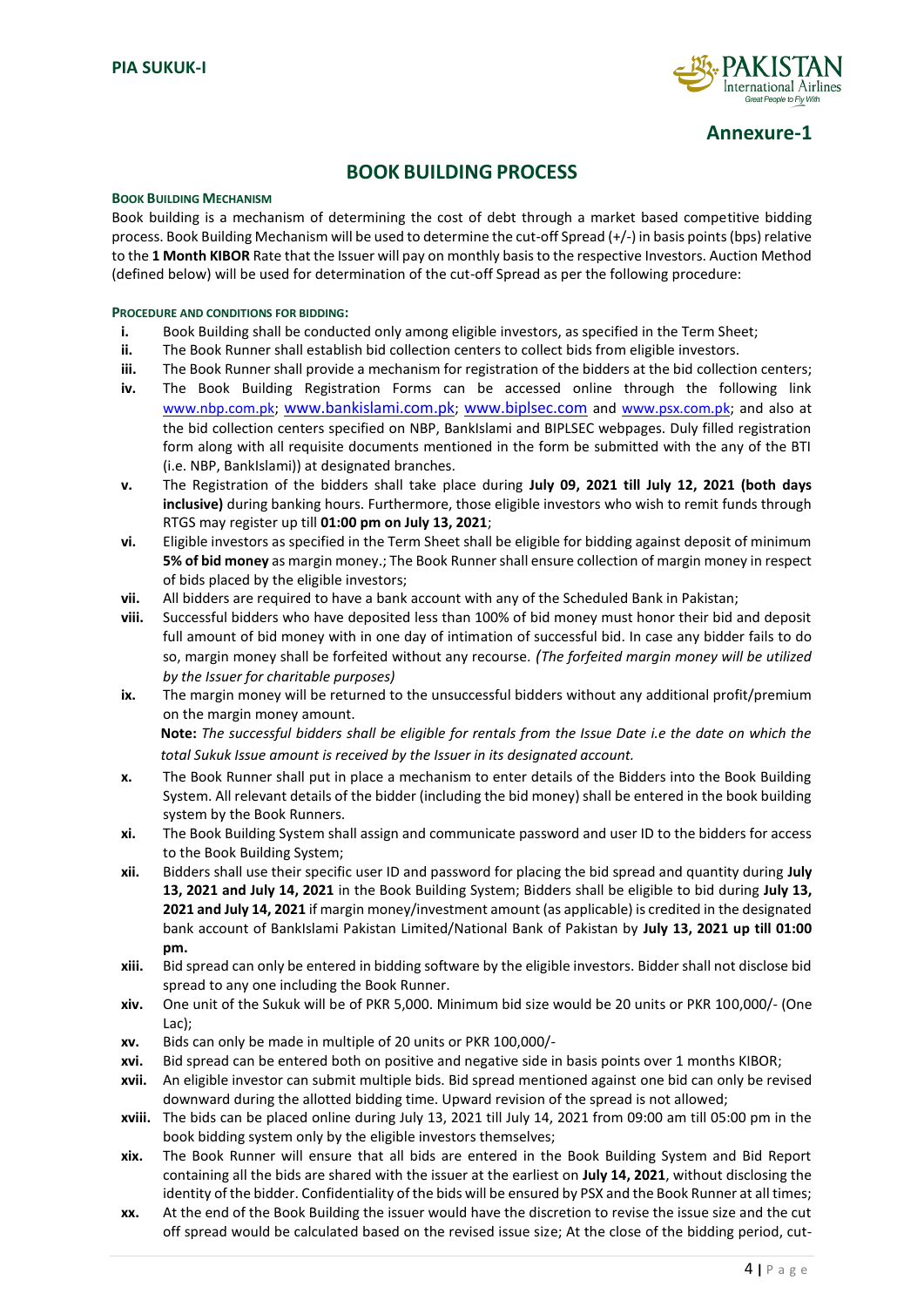![](_page_4_Picture_1.jpeg)

**Annexure-1**

## **BOOK BUILDING PROCESS**

#### **BOOK BUILDING MECHANISM**

Book building is a mechanism of determining the cost of debt through a market based competitive bidding process. Book Building Mechanism will be used to determine the cut-off Spread (+/-) in basis points (bps) relative to the **1 Month KIBOR** Rate that the Issuer will pay on monthly basis to the respective Investors. Auction Method (defined below) will be used for determination of the cut-off Spread as per the following procedure:

#### **PROCEDURE AND CONDITIONS FOR BIDDING:**

- **i.** Book Building shall be conducted only among eligible investors, as specified in the Term Sheet;
- **ii.** The Book Runner shall establish bid collection centers to collect bids from eligible investors.
- **iii.** The Book Runner shall provide a mechanism for registration of the bidders at the bid collection centers;
- **iv.** The Book Building Registration Forms can be accessed online through the following link [www.nbp.com.pk;](http://www.nbp.com.pk/) www.bankislami.com.pk; www.biplsec.com and [www.psx.com.pk;](http://www.psx.com.pk/) and also at the bid collection centers specified on NBP, BankIslami and BIPLSEC webpages. Duly filled registration form along with all requisite documents mentioned in the form be submitted with the any of the BTI (i.e. NBP, BankIslami)) at designated branches.
- **v.** The Registration of the bidders shall take place during **July 09, 2021 till July 12, 2021 (both days inclusive)** during banking hours. Furthermore, those eligible investors who wish to remit funds through RTGS may register up till **01:00 pm on July 13, 2021**;
- **vi.** Eligible investors as specified in the Term Sheet shall be eligible for bidding against deposit of minimum **5% of bid money** as margin money.; The Book Runner shall ensure collection of margin money in respect of bids placed by the eligible investors;
- **vii.** All bidders are required to have a bank account with any of the Scheduled Bank in Pakistan;
- **viii.** Successful bidders who have deposited less than 100% of bid money must honor their bid and deposit full amount of bid money with in one day of intimation of successful bid. In case any bidder fails to do so, margin money shall be forfeited without any recourse. *(The forfeited margin money will be utilized by the Issuer for charitable purposes)*
- **ix.** The margin money will be returned to the unsuccessful bidders without any additional profit/premium on the margin money amount. **Note:** *The successful bidders shall be eligible for rentals from the Issue Date i.e the date on which the*
- *total Sukuk Issue amount is received by the Issuer in its designated account.* **x.** The Book Runner shall put in place a mechanism to enter details of the Bidders into the Book Building System. All relevant details of the bidder (including the bid money) shall be entered in the book building system by the Book Runners.
- **xi.** The Book Building System shall assign and communicate password and user ID to the bidders for access to the Book Building System;
- **xii.** Bidders shall use their specific user ID and password for placing the bid spread and quantity during **July 13, 2021 and July 14, 2021** in the Book Building System; Bidders shall be eligible to bid during **July 13, 2021 and July 14, 2021** if margin money/investment amount (as applicable) is credited in the designated bank account of BankIslami Pakistan Limited/National Bank of Pakistan by **July 13, 2021 up till 01:00 pm.**
- **xiii.** Bid spread can only be entered in bidding software by the eligible investors. Bidder shall not disclose bid spread to any one including the Book Runner.
- **xiv.** One unit of the Sukuk will be of PKR 5,000. Minimum bid size would be 20 units or PKR 100,000/- (One Lac);
- **xv.** Bids can only be made in multiple of 20 units or PKR 100,000/-
- **xvi.** Bid spread can be entered both on positive and negative side in basis points over 1 months KIBOR;
- **xvii.** An eligible investor can submit multiple bids. Bid spread mentioned against one bid can only be revised downward during the allotted bidding time. Upward revision of the spread is not allowed;
- **xviii.** The bids can be placed online during July 13, 2021 till July 14, 2021 from 09:00 am till 05:00 pm in the book bidding system only by the eligible investors themselves;
- **xix.** The Book Runner will ensure that all bids are entered in the Book Building System and Bid Report containing all the bids are shared with the issuer at the earliest on **July 14, 2021**, without disclosing the identity of the bidder. Confidentiality of the bids will be ensured by PSX and the Book Runner at all times;
- **xx.** At the end of the Book Building the issuer would have the discretion to revise the issue size and the cut off spread would be calculated based on the revised issue size; At the close of the bidding period, cut-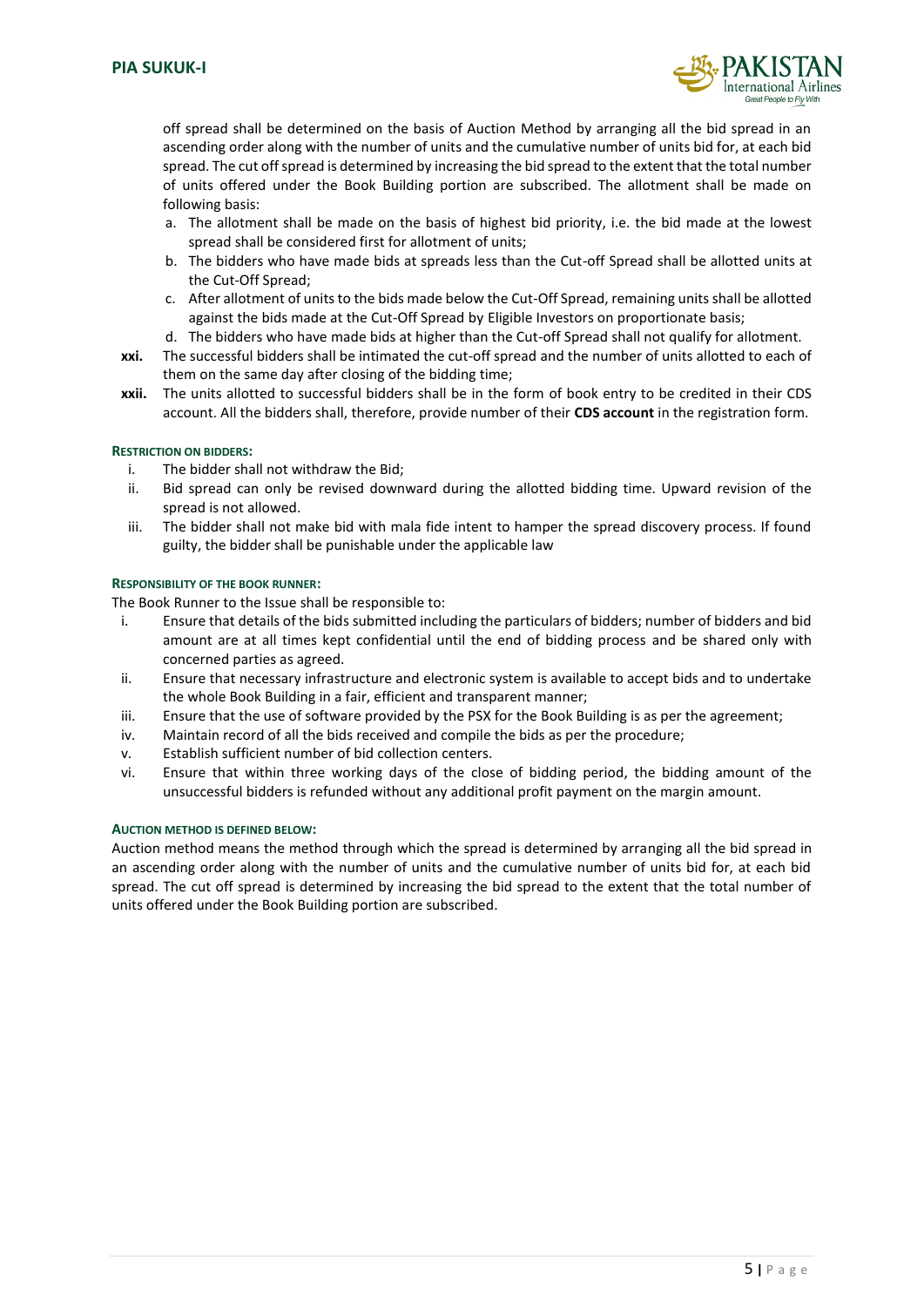![](_page_5_Picture_1.jpeg)

off spread shall be determined on the basis of Auction Method by arranging all the bid spread in an ascending order along with the number of units and the cumulative number of units bid for, at each bid spread. The cut off spread is determined by increasing the bid spread to the extent that the total number of units offered under the Book Building portion are subscribed. The allotment shall be made on following basis:

- a. The allotment shall be made on the basis of highest bid priority, i.e. the bid made at the lowest spread shall be considered first for allotment of units;
- b. The bidders who have made bids at spreads less than the Cut-off Spread shall be allotted units at the Cut-Off Spread;
- c. After allotment of units to the bids made below the Cut-Off Spread, remaining units shall be allotted against the bids made at the Cut-Off Spread by Eligible Investors on proportionate basis;
- d. The bidders who have made bids at higher than the Cut-off Spread shall not qualify for allotment.
- **xxi.** The successful bidders shall be intimated the cut-off spread and the number of units allotted to each of them on the same day after closing of the bidding time;
- **xxii.** The units allotted to successful bidders shall be in the form of book entry to be credited in their CDS account. All the bidders shall, therefore, provide number of their **CDS account** in the registration form.

#### **RESTRICTION ON BIDDERS:**

- i. The bidder shall not withdraw the Bid;
- ii. Bid spread can only be revised downward during the allotted bidding time. Upward revision of the spread is not allowed.
- iii. The bidder shall not make bid with mala fide intent to hamper the spread discovery process. If found guilty, the bidder shall be punishable under the applicable law

#### **RESPONSIBILITY OF THE BOOK RUNNER:**

The Book Runner to the Issue shall be responsible to:

- i. Ensure that details of the bids submitted including the particulars of bidders; number of bidders and bid amount are at all times kept confidential until the end of bidding process and be shared only with concerned parties as agreed.
- ii. Ensure that necessary infrastructure and electronic system is available to accept bids and to undertake the whole Book Building in a fair, efficient and transparent manner;
- iii. Ensure that the use of software provided by the PSX for the Book Building is as per the agreement;
- iv. Maintain record of all the bids received and compile the bids as per the procedure;
- v. Establish sufficient number of bid collection centers.
- vi. Ensure that within three working days of the close of bidding period, the bidding amount of the unsuccessful bidders is refunded without any additional profit payment on the margin amount.

#### **AUCTION METHOD IS DEFINED BELOW:**

Auction method means the method through which the spread is determined by arranging all the bid spread in an ascending order along with the number of units and the cumulative number of units bid for, at each bid spread. The cut off spread is determined by increasing the bid spread to the extent that the total number of units offered under the Book Building portion are subscribed.